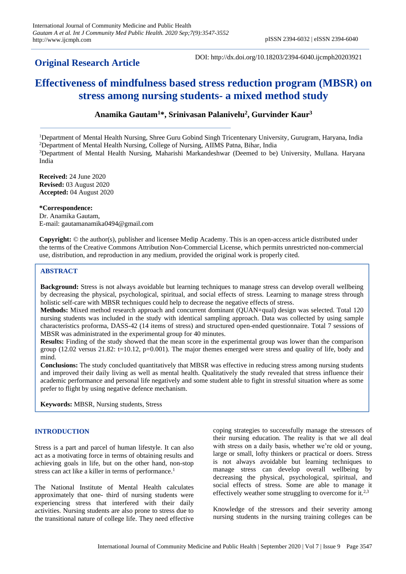## **Original Research Article**

DOI: http://dx.doi.org/10.18203/2394-6040.ijcmph20203921

# **Effectiveness of mindfulness based stress reduction program (MBSR) on stress among nursing students- a mixed method study**

## **Anamika Gautam<sup>1</sup>\*, Srinivasan Palanivelu<sup>2</sup> , Gurvinder Kaur<sup>3</sup>**

Department of Mental Health Nursing, Shree Guru Gobind Singh Tricentenary University, Gurugram, Haryana, India Department of Mental Health Nursing, College of Nursing, AIIMS Patna, Bihar, India Department of Mental Health Nursing, Maharishi Markandeshwar (Deemed to be) University, Mullana. Haryana India

**Received:** 24 June 2020 **Revised:** 03 August 2020 **Accepted:** 04 August 2020

**\*Correspondence:**

Dr. Anamika Gautam, E-mail: gautamanamika0494@gmail.com

**Copyright:** © the author(s), publisher and licensee Medip Academy. This is an open-access article distributed under the terms of the Creative Commons Attribution Non-Commercial License, which permits unrestricted non-commercial use, distribution, and reproduction in any medium, provided the original work is properly cited.

## **ABSTRACT**

**Background:** Stress is not always avoidable but learning techniques to manage stress can develop overall wellbeing by decreasing the physical, psychological, spiritual, and social effects of stress. Learning to manage stress through holistic self-care with MBSR techniques could help to decrease the negative effects of stress.

**Methods:** Mixed method research approach and concurrent dominant (QUAN+qual) design was selected. Total 120 nursing students was included in the study with identical sampling approach. Data was collected by using sample characteristics proforma, DASS-42 (14 items of stress) and structured open-ended questionnaire. Total 7 sessions of MBSR was administrated in the experimental group for 40 minutes.

**Results:** Finding of the study showed that the mean score in the experimental group was lower than the comparison group  $(12.02 \text{ versus } 21.82$ : t=10.12, p=0.001). The major themes emerged were stress and quality of life, body and mind.

**Conclusions:** The study concluded quantitatively that MBSR was effective in reducing stress among nursing students and improved their daily living as well as mental health. Qualitatively the study revealed that stress influence their academic performance and personal life negatively and some student able to fight in stressful situation where as some prefer to flight by using negative defence mechanism.

**Keywords:** MBSR, Nursing students, Stress

## **INTRODUCTION**

Stress is a part and parcel of human lifestyle. It can also act as a motivating force in terms of obtaining results and achieving goals in life, but on the other hand, non-stop stress can act like a killer in terms of performance.<sup>1</sup>

The National Institute of Mental Health calculates approximately that one- third of nursing students were experiencing stress that interfered with their daily activities. Nursing students are also prone to stress due to the transitional nature of college life. They need effective

coping strategies to successfully manage the stressors of their nursing education. The reality is that we all deal with stress on a daily basis, whether we're old or young, large or small, lofty thinkers or practical or doers. Stress is not always avoidable but learning techniques to manage stress can develop overall wellbeing by decreasing the physical, psychological, spiritual, and social effects of stress. Some are able to manage it effectively weather some struggling to overcome for it.2,3

Knowledge of the stressors and their severity among nursing students in the nursing training colleges can be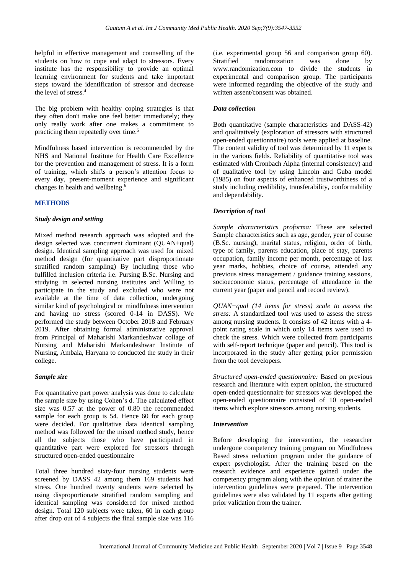helpful in effective management and counselling of the students on how to cope and adapt to stressors. Every institute has the responsibility to provide an optimal learning environment for students and take important steps toward the identification of stressor and decrease the level of stress.<sup>4</sup>

The big problem with healthy coping strategies is that they often don't make one feel better immediately; they only really work after one makes a commitment to practicing them repeatedly over time. 5

Mindfulness based intervention is recommended by the NHS and National Institute for Health Care Excellence for the prevention and management of stress. It is a form of training, which shifts a person's attention focus to every day, present-moment experience and significant changes in health and wellbeing.<sup>6</sup>

#### **METHODS**

#### *Study design and setting*

Mixed method research approach was adopted and the design selected was concurrent dominant (QUAN+qual) design. Identical sampling approach was used for mixed method design (for quantitative part disproportionate stratified random sampling) By including those who fulfilled inclusion criteria i.e. Pursing B.Sc. Nursing and studying in selected nursing institutes and Willing to participate in the study and excluded who were not available at the time of data collection, undergoing similar kind of psychological or mindfulness intervention and having no stress (scored 0-14 in DASS). We performed the study between October 2018 and February 2019. After obtaining formal administrative approval from Principal of Maharishi Markandeshwar collage of Nursing and Maharishi Markandeshwar Institute of Nursing, Ambala, Haryana to conducted the study in their college.

#### *Sample size*

For quantitative part power analysis was done to calculate the sample size by using Cohen's d. The calculated effect size was 0.57 at the power of 0.80 the recommended sample for each group is 54. Hence 60 for each group were decided. For qualitative data identical sampling method was followed for the mixed method study, hence all the subjects those who have participated in quantitative part were explored for stressors through structured open-ended questionnaire

Total three hundred sixty-four nursing students were screened by DASS 42 among them 169 students had stress. One hundred twenty students were selected by using disproportionate stratified random sampling and identical sampling was considered for mixed method design. Total 120 subjects were taken, 60 in each group after drop out of 4 subjects the final sample size was 116

(i.e. experimental group 56 and comparison group 60). Stratified randomization was done by www.randomization.com to divide the students in experimental and comparison group. The participants were informed regarding the objective of the study and written assent/consent was obtained.

#### *Data collection*

Both quantitative (sample characteristics and DASS-42) and qualitatively (exploration of stressors with structured open-ended questionnaire) tools were applied at baseline. The content validity of tool was determined by 11 experts in the various fields. Reliability of quantitative tool was estimated with Cronbach Alpha (internal consistency) and of qualitative tool by using Lincoln and Guba model (1985) on four aspects of enhanced trustworthiness of a study including credibility, transferability, conformability and dependability.

#### *Description of tool*

*Sample characteristics proforma:* These are selected Sample characteristics such as age, gender, year of course (B.Sc. nursing), marital status, religion, order of birth, type of family, parents education, place of stay, parents occupation, family income per month, percentage of last year marks, hobbies, choice of course, attended any previous stress management / guidance training sessions, socioeconomic status, percentage of attendance in the current year (paper and pencil and record review).

*QUAN+qual (14 items for stress) scale to assess the stress:* A standardized tool was used to assess the stress among nursing students. It consists of 42 items with a 4 point rating scale in which only 14 items were used to check the stress. Which were collected from participants with self-report technique (paper and pencil). This tool is incorporated in the study after getting prior permission from the tool developers.

*Structured open-ended questionnaire:* Based on previous research and literature with expert opinion, the structured open-ended questionnaire for stressors was developed the open-ended questionnaire consisted of 10 open-ended items which explore stressors among nursing students.

#### *Intervention*

Before developing the intervention, the researcher undergone competency training program on Mindfulness Based stress reduction program under the guidance of expert psychologist. After the training based on the research evidence and experience gained under the competency program along with the opinion of trainer the intervention guidelines were prepared. The intervention guidelines were also validated by 11 experts after getting prior validation from the trainer.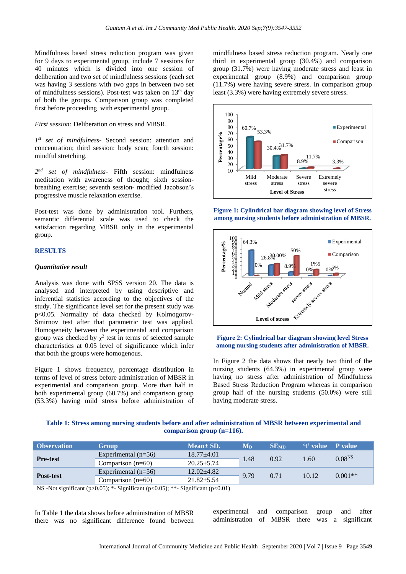Mindfulness based stress reduction program was given for 9 days to experimental group, include 7 sessions for 40 minutes which is divided into one session of deliberation and two set of mindfulness sessions (each set was having 3 sessions with two gaps in between two set of mindfulness sessions). Post-test was taken on 13<sup>th</sup> day of both the groups. Comparison group was completed first before proceeding with experimental group.

*First session:* Deliberation on stress and MBSR.

*1 st set of mindfulness-* Second session: attention and concentration; third session: body scan; fourth session: mindful stretching.

*2 nd set of mindfulness-* Fifth session: mindfulness meditation with awareness of thought; sixth sessionbreathing exercise; seventh session- modified Jacobson's progressive muscle relaxation exercise.

Post-test was done by administration tool. Furthers, semantic differential scale was used to check the satisfaction regarding MBSR only in the experimental group.

#### **RESULTS**

#### *Quantitative result*

Analysis was done with SPSS version 20. The data is analysed and interpreted by using descriptive and inferential statistics according to the objectives of the study. The significance level set for the present study was p<0.05. Normality of data checked by Kolmogorov-Smirnov test after that parametric test was applied. Homogeneity between the experimental and comparison group was checked by  $\chi^2$  test in terms of selected sample characteristics at 0.05 level of significance which infer that both the groups were homogenous.

Figure 1 shows frequency, percentage distribution in terms of level of stress before administration of MBSR in experimental and comparison group. More than half in both experimental group (60.7%) and comparison group (53.3%) having mild stress before administration of

mindfulness based stress reduction program. Nearly one third in experimental group (30.4%) and comparison group (31.7%) were having moderate stress and least in experimental group (8.9%) and comparison group (11.7%) were having severe stress. In comparison group least (3.3%) were having extremely severe stress.



**Figure 1: Cylindrical bar diagram showing level of Stress among nursing students before administration of MBSR.**



#### **Figure 2: Cylindrical bar diagram showing level Stress among nursing students after administration of MBSR.**

In Figure 2 the data shows that nearly two third of the nursing students (64.3%) in experimental group were having no stress after administration of Mindfulness Based Stress Reduction Program whereas in comparison group half of the nursing students (50.0%) were still having moderate stress.

| Table 1: Stress among nursing students before and after administration of MBSR between experimental and |                              |  |  |  |
|---------------------------------------------------------------------------------------------------------|------------------------------|--|--|--|
|                                                                                                         | comparison group $(n=116)$ . |  |  |  |

| <b>Observation</b> | <b>Group</b>          | $Mean \pm SD.$   | $\mathbf{M}_{\mathbf{D}}$ | SE <sub>MD</sub> | 't' value P value |                    |
|--------------------|-----------------------|------------------|---------------------------|------------------|-------------------|--------------------|
| <b>Pre-test</b>    | Experimental $(n=56)$ | $18.77 \pm 4.01$ | 1.48                      | 0.92             | 1.60              | 0.08 <sup>NS</sup> |
|                    | Comparison $(n=60)$   | $20.25 + 5.74$   |                           |                  |                   |                    |
|                    | Experimental $(n=56)$ | $12.02 \pm 4.82$ | 9.79                      | 0.71             | 10.12             | $0.001**$          |
| Post-test          | Comparison $(n=60)$   | $21.82 + 5.54$   |                           |                  |                   |                    |

NS -Not significant (p $>0.05$ ); \*- Significant (p $<0.05$ ); \*\*- Significant (p $<0.01$ )

In Table 1 the data shows before administration of MBSR there was no significant difference found between experimental and comparison group and after administration of MBSR there was a significant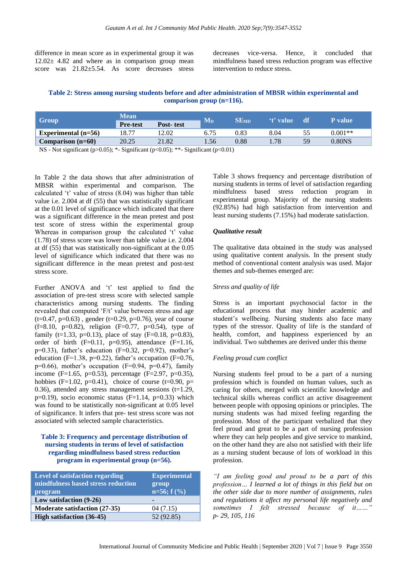difference in mean score as in experimental group it was  $12.02 \pm 4.82$  and where as in comparison group mean score was 21.82±5.54. As score decreases stress

decreases vice-versa. Hence, it concluded that mindfulness based stress reduction program was effective intervention to reduce stress.

**Table 2: Stress among nursing students before and after administration of MBSR within experimental and comparison group (n=116).**

| <b>Group</b>                                                                                                                                                                                                                                                                                                | Mean            |           |                                           |                                 | <i>'t'</i> value | – df | <b>P</b> value    |
|-------------------------------------------------------------------------------------------------------------------------------------------------------------------------------------------------------------------------------------------------------------------------------------------------------------|-----------------|-----------|-------------------------------------------|---------------------------------|------------------|------|-------------------|
|                                                                                                                                                                                                                                                                                                             | <b>Pre-test</b> | Post-test | $M_{D}$                                   | $\operatorname{SE}_{\text{MD}}$ |                  |      |                   |
| Experimental $(n=56)$                                                                                                                                                                                                                                                                                       | 18.77           | 2.02      | 6.75                                      | 0.83                            | 8.04             | 55   | $0.001**$         |
| Comparison $(n=60)$                                                                                                                                                                                                                                                                                         | 20.25           | 21.82     | .56                                       | 0.88                            | .78              | 59   | 0.80 <sub>N</sub> |
| $\mathbf{v}$ , $\mathbf{v}$ , $\mathbf{v}$ , $\mathbf{v}$ , $\mathbf{v}$ , $\mathbf{v}$ , $\mathbf{v}$ , $\mathbf{v}$ , $\mathbf{v}$ , $\mathbf{v}$ , $\mathbf{v}$ , $\mathbf{v}$ , $\mathbf{v}$ , $\mathbf{v}$ , $\mathbf{v}$ , $\mathbf{v}$ , $\mathbf{v}$ , $\mathbf{v}$ , $\mathbf{v}$ , $\mathbf{v}$ , |                 |           | $\sim$ $\sim$ $\sim$ $\sim$ $\sim$ $\sim$ |                                 |                  |      |                   |

NS - Not significant (p>0.05); \*- Significant (p<0.05); \*\*- Significant (p<0.01)

In Table 2 the data shows that after administration of MBSR within experimental and comparison. The calculated 't' value of stress (8.04) was higher than table value i.e. 2.004 at df (55) that was statistically significant at the 0.01 level of significance which indicated that there was a significant difference in the mean pretest and post test score of stress within the experimental group Whereas in comparison group the calculated 't' value (1.78) of stress score was lower than table value i.e. 2.004 at df (55) that was statistically non-significant at the 0.05 level of significance which indicated that there was no significant difference in the mean pretest and post-test stress score.

Further ANOVA and 't' test applied to find the association of pre-test stress score with selected sample characteristics among nursing students. The finding revealed that computed 'F/t' value between stress and age  $(t=0.47, p=0.63)$ , gender  $(t=0.29, p=0.76)$ , year of course  $(f=8.10, p=0.82)$ , religion  $(F=0.77, p=0.54)$ , type of family (t=1.33, p=0.13), place of stay (F=0.18, p=0.83), order of birth  $(F=0.11, p=0.95)$ , attendance  $(F=1.16,$  $p=0.33$ ), father's education (F=0.32,  $p=0.92$ ), mother's education (F=1.38, p=0.22), father's occupation (F=0.76,  $p=0.66$ ), mother's occupation (F=0.94,  $p=0.47$ ), family income (F=1.65, p=0.53), percentage (F=2.97, p=0.35), hobbies (F=1.02, p=0.41), choice of course (t=0.90, p= 0.36), attended any stress management sessions  $(t=1.29)$ , p=0.19), socio economic status (F=1.14, p=0.33) which was found to be statistically non-significant at 0.05 level of significance. It infers that pre- test stress score was not associated with selected sample characteristics.

#### **Table 3: Frequency and percentage distribution of nursing students in terms of level of satisfaction regarding mindfulness based stress reduction program in experimental group (n=56).**

| <b>Level of satisfaction regarding</b><br>mindfulness based stress reduction<br>program | <b>Experimental</b><br>group<br>$n=56; f(%)$ |
|-----------------------------------------------------------------------------------------|----------------------------------------------|
| Low satisfaction (9-26)                                                                 |                                              |
| Moderate satisfaction (27-35)                                                           | 04(7.15)                                     |
| High satisfaction (36-45)                                                               | 52 (92.85)                                   |

Table 3 shows frequency and percentage distribution of nursing students in terms of level of satisfaction regarding mindfulness based stress reduction program in experimental group. Majority of the nursing students (92.85%) had high satisfaction from intervention and least nursing students (7.15%) had moderate satisfaction.

#### *Qualitative result*

The qualitative data obtained in the study was analysed using qualitative content analysis. In the present study method of conventional content analysis was used. Major themes and sub-themes emerged are:

#### *Stress and quality of life*

Stress is an important psychosocial factor in the educational process that may hinder academic and student's wellbeing. Nursing students also face many types of the stressor. Quality of life is the standard of health, comfort, and happiness experienced by an individual. Two subthemes are derived under this theme

#### *Feeling proud cum conflict*

Nursing students feel proud to be a part of a nursing profession which is founded on human values, such as caring for others, merged with scientific knowledge and technical skills whereas conflict an active disagreement between people with opposing opinions or principles. The nursing students was had mixed feeling regarding the profession. Most of the participant verbalized that they feel proud and great to be a part of nursing profession where they can help peoples and give service to mankind, on the other hand they are also not satisfied with their life as a nursing student because of lots of workload in this profession.

*"I am feeling good and proud to be a part of this profession… I learned a lot of things in this field but on the other side due to more number of assignments, rules and regulations it affect my personal life negatively and sometimes I felt stressed because of it……" p- 29, 105, 116*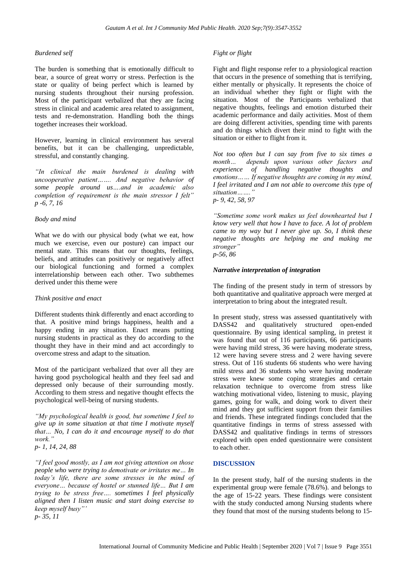#### *Burdened self*

The burden is something that is emotionally difficult to bear, a source of great worry or stress. Perfection is the state or quality of being perfect which is learned by nursing students throughout their nursing profession. Most of the participant verbalized that they are facing stress in clinical and academic area related to assignment, tests and re-demonstration. Handling both the things together increases their workload.

However, learning in clinical environment has several benefits, but it can be challenging, unpredictable, stressful, and constantly changing.

*"In clinical the main burdened is dealing with uncooperative patient……. And negative behavior of some people around us….and in academic also completion of requirement is the main stressor I felt" p -6, 7, 16*

#### *Body and mind*

What we do with our physical body (what we eat, how much we exercise, even our posture) can impact our mental state. This means that our thoughts, feelings, beliefs, and attitudes can positively or negatively affect our biological functioning and formed a complex interrelationship between each other. Two subthemes derived under this theme were

#### *Think positive and enact*

Different students think differently and enact according to that. A positive mind brings happiness, health and a happy ending in any situation. Enact means putting nursing students in practical as they do according to the thought they have in their mind and act accordingly to overcome stress and adapt to the situation.

Most of the participant verbalized that over all they are having good psychological health and they feel sad and depressed only because of their surrounding mostly*.*  According to them stress and negative thought effects the psychological well-being of nursing students.

*"My psychological health is good, but sometime I feel to give up in some situation at that time I motivate myself that… No, I can do it and encourage myself to do that work."* 

*p- 1, 14, 24, 88*

*"I feel good mostly, as I am not giving attention on those people who were trying to demotivate or irritates me… In today's life, there are some stresses in the mind of everyone… because of hostel or stunned life… But I am trying to be stress free…. sometimes I feel physically aligned then I listen music and start doing exercise to keep myself busy"' p- 35, 11*

#### *Fight or flight*

Fight and flight response refer to a physiological reaction that occurs in the presence of something that is terrifying, either mentally or physically. It represents the choice of an individual whether they fight or flight with the situation. Most of the Participants verbalized that negative thoughts, feelings and emotion disturbed their academic performance and daily activities. Most of them are doing different activities, spending time with parents and do things which divert their mind to fight with the situation or either to flight from it.

*Not too often but I can say from five to six times a month… depends upon various other factors and experience of handling negative thoughts and emotions…… If negative thoughts are coming in my mind, I feel irritated and I am not able to overcome this type of situation……." p- 9, 42, 58, 97*

*"Sometime some work makes us feel downhearted but I know very well that how I have to face. A lot of problem came to my way but I never give up. So, I think these negative thoughts are helping me and making me stronger" p-56, 86*

#### *Narrative interpretation of integration*

The finding of the present study in term of stressors by both quantitative and qualitative approach were merged at interpretation to bring about the integrated result.

In present study, stress was assessed quantitatively with DASS42 and qualitatively structured open-ended questionnaire. By using identical sampling, in pretest it was found that out of 116 participants, 66 participants were having mild stress, 36 were having moderate stress, 12 were having severe stress and 2 were having severe stress. Out of 116 students 66 students who were having mild stress and 36 students who were having moderate stress were knew some coping strategies and certain relaxation technique to overcome from stress like watching motivational video, listening to music, playing games, going for walk, and doing work to divert their mind and they got sufficient support from their families and friends. These integrated findings concluded that the quantitative findings in terms of stress assessed with DASS42 and qualitative findings in terms of stressors explored with open ended questionnaire were consistent to each other.

#### **DISCUSSION**

In the present study, half of the nursing students in the experimental group were female (78.6%). and belongs to the age of 15-22 years. These findings were consistent with the study conducted among Nursing students where they found that most of the nursing students belong to 15-